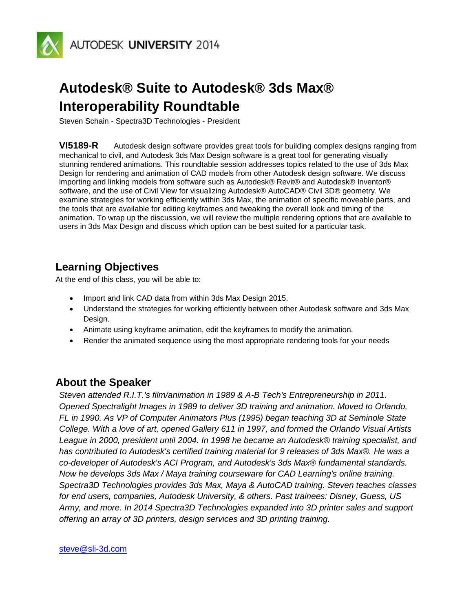

## **Autodesk® Suite to Autodesk® 3ds Max® Interoperability Roundtable**

Steven Schain - Spectra3D Technologies - President

**VI5189-R** Autodesk design software provides great tools for building complex designs ranging from mechanical to civil, and Autodesk 3ds Max Design software is a great tool for generating visually stunning rendered animations. This roundtable session addresses topics related to the use of 3ds Max Design for rendering and animation of CAD models from other Autodesk design software. We discuss importing and linking models from software such as Autodesk® Revit® and Autodesk® Inventor® software, and the use of Civil View for visualizing Autodesk® AutoCAD® Civil 3D® geometry. We examine strategies for working efficiently within 3ds Max, the animation of specific moveable parts, and the tools that are available for editing keyframes and tweaking the overall look and timing of the animation. To wrap up the discussion, we will review the multiple rendering options that are available to users in 3ds Max Design and discuss which option can be best suited for a particular task.

### **Learning Objectives**

At the end of this class, you will be able to:

- Import and link CAD data from within 3ds Max Design 2015.
- Understand the strategies for working efficiently between other Autodesk software and 3ds Max Design.
- Animate using keyframe animation, edit the keyframes to modify the animation.
- Render the animated sequence using the most appropriate rendering tools for your needs

#### **About the Speaker**

*Steven attended R.I.T.'s film/animation in 1989 & A-B Tech's Entrepreneurship in 2011. Opened Spectralight Images in 1989 to deliver 3D training and animation. Moved to Orlando, FL in 1990. As VP of Computer Animators Plus (1995) began teaching 3D at Seminole State College. With a love of art, opened Gallery 611 in 1997, and formed the Orlando Visual Artists League in 2000, president until 2004. In 1998 he became an Autodesk® training specialist, and has contributed to Autodesk's certified training material for 9 releases of 3ds Max®. He was a co-developer of Autodesk's ACI Program, and Autodesk's 3ds Max® fundamental standards. Now he develops 3ds Max / Maya training courseware for CAD Learning's online training. Spectra3D Technologies provides 3ds Max, Maya & AutoCAD training. Steven teaches classes for end users, companies, Autodesk University, & others. Past trainees: Disney, Guess, US Army, and more. In 2014 Spectra3D Technologies expanded into 3D printer sales and support offering an array of 3D printers, design services and 3D printing training.*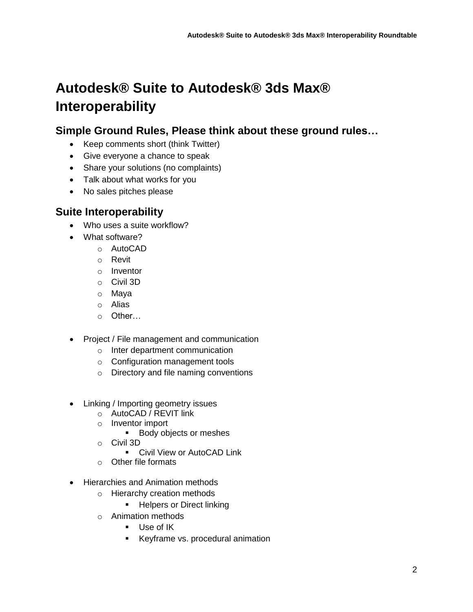# **Autodesk® Suite to Autodesk® 3ds Max® Interoperability**

## **Simple Ground Rules, Please think about these ground rules…**

- Keep comments short (think Twitter)
- Give everyone a chance to speak
- Share your solutions (no complaints)
- Talk about what works for you
- No sales pitches please

### **Suite Interoperability**

- Who uses a suite workflow?
- What software?
	- o AutoCAD
	- o Revit
	- o Inventor
	- o Civil 3D
	- o Maya
	- o Alias
	- $\circ$  Other
- Project / File management and communication
	- o Inter department communication
	- o Configuration management tools
	- o Directory and file naming conventions
- Linking / Importing geometry issues
	- o AutoCAD / REVIT link
	- o Inventor import
		- **Body objects or meshes**
	- o Civil 3D
		- **Civil View or AutoCAD Link**
	- o Other file formats
- Hierarchies and Animation methods
	- o Hierarchy creation methods
		- **-** Helpers or Direct linking
	- o Animation methods
		- **Use of IK**
		- **Keyframe vs. procedural animation**